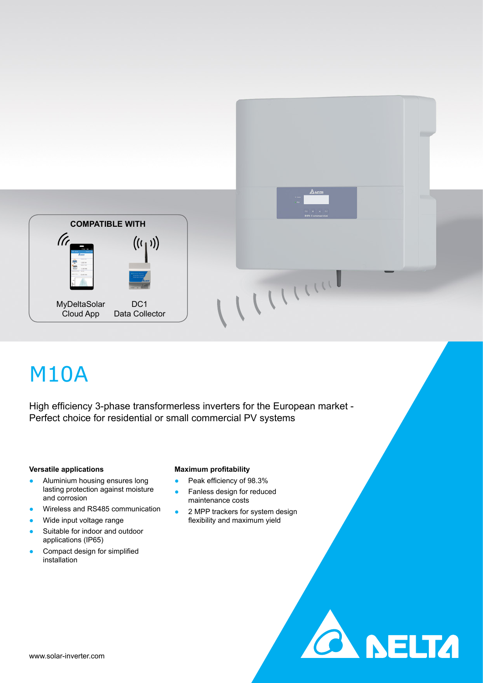

# M10A

High efficiency 3-phase transformerless inverters for the European market - Perfect choice for residential or small commercial PV systems

## **Versatile applications**

- Aluminium housing ensures long lasting protection against moisture and corrosion
- Wireless and RS485 communication
- Wide input voltage range
- Suitable for indoor and outdoor applications (IP65)
- Compact design for simplified installation

# **Maximum profitability**

- Peak efficiency of 98.3%
- Fanless design for reduced maintenance costs
- 2 MPP trackers for system design flexibility and maximum yield

WITTON